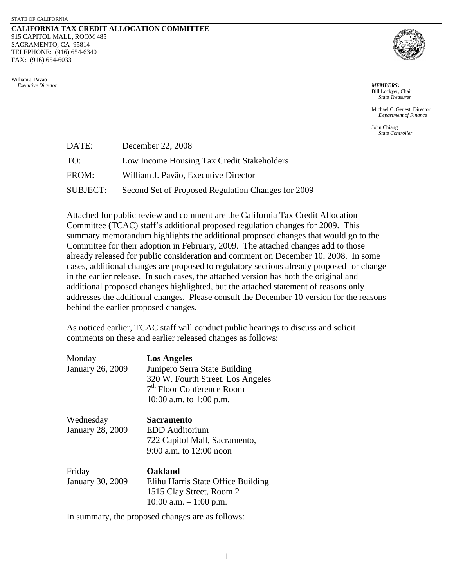#### **CALIFORNIA TAX CREDIT ALLOCATION COMMITTEE** 915 CAPITOL MALL, ROOM 485 SACRAMENTO, CA 95814 TELEPHONE: (916) 654-6340 FAX: (916) 654-6033

William J. Pavão  *Executive Director MEMBERS***:**



Bill Lockyer, Chair *State Treasurer*

Michael C. Genest, Director *Department of Finance* 

John Chiang *State Controller*

| DATE:           | December 22, 2008                                  |
|-----------------|----------------------------------------------------|
| TO:             | Low Income Housing Tax Credit Stakeholders         |
| FROM:           | William J. Pavão, Executive Director               |
| <b>SUBJECT:</b> | Second Set of Proposed Regulation Changes for 2009 |

Attached for public review and comment are the California Tax Credit Allocation Committee (TCAC) staff's additional proposed regulation changes for 2009. This summary memorandum highlights the additional proposed changes that would go to the Committee for their adoption in February, 2009. The attached changes add to those already released for public consideration and comment on December 10, 2008. In some cases, additional changes are proposed to regulatory sections already proposed for change in the earlier release. In such cases, the attached version has both the original and additional proposed changes highlighted, but the attached statement of reasons only addresses the additional changes. Please consult the December 10 version for the reasons behind the earlier proposed changes.

As noticed earlier, TCAC staff will conduct public hearings to discuss and solicit comments on these and earlier released changes as follows:

| Monday<br>January 26, 2009           | <b>Los Angeles</b><br>Junipero Serra State Building<br>320 W. Fourth Street, Los Angeles<br>7 <sup>th</sup> Floor Conference Room<br>10:00 a.m. to 1:00 p.m. |
|--------------------------------------|--------------------------------------------------------------------------------------------------------------------------------------------------------------|
| Wednesday<br><b>January 28, 2009</b> | Sacramento<br>EDD Auditorium<br>722 Capitol Mall, Sacramento,<br>9:00 a.m. to $12:00$ noon                                                                   |
| Friday<br>January 30, 2009           | Oakland<br>Elihu Harris State Office Building<br>1515 Clay Street, Room 2<br>10:00 a.m. $-1:00$ p.m.                                                         |

In summary, the proposed changes are as follows: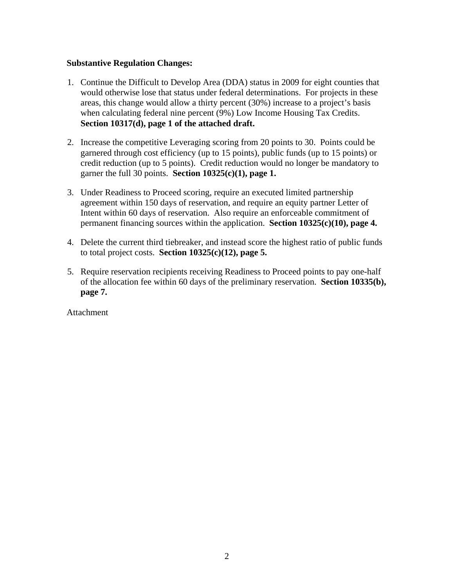# **Substantive Regulation Changes:**

- 1. Continue the Difficult to Develop Area (DDA) status in 2009 for eight counties that would otherwise lose that status under federal determinations. For projects in these areas, this change would allow a thirty percent (30%) increase to a project's basis when calculating federal nine percent (9%) Low Income Housing Tax Credits. **Section 10317(d), page 1 of the attached draft.**
- 2. Increase the competitive Leveraging scoring from 20 points to 30. Points could be garnered through cost efficiency (up to 15 points), public funds (up to 15 points) or credit reduction (up to 5 points). Credit reduction would no longer be mandatory to garner the full 30 points. **Section 10325(c)(1), page 1.**
- 3. Under Readiness to Proceed scoring, require an executed limited partnership agreement within 150 days of reservation, and require an equity partner Letter of Intent within 60 days of reservation. Also require an enforceable commitment of permanent financing sources within the application. **Section 10325(c)(10), page 4.**
- 4. Delete the current third tiebreaker, and instead score the highest ratio of public funds to total project costs. **Section 10325(c)(12), page 5.**
- 5. Require reservation recipients receiving Readiness to Proceed points to pay one-half of the allocation fee within 60 days of the preliminary reservation. **Section 10335(b), page 7.**

Attachment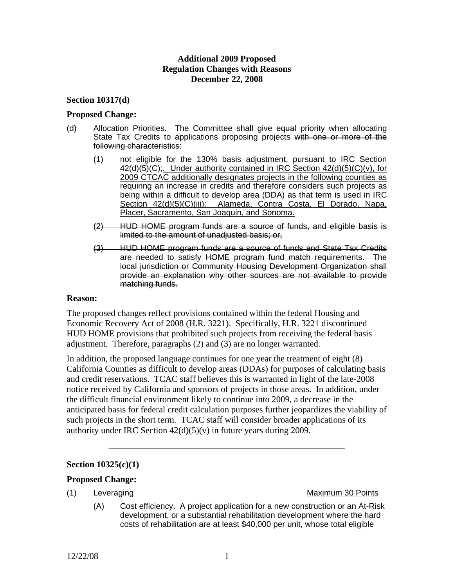# **Additional 2009 Proposed Regulation Changes with Reasons December 22, 2008**

## **Section 10317(d)**

#### **Proposed Change:**

- (d) Allocation Priorities. The Committee shall give equal priority when allocating State Tax Credits to applications proposing projects with one or more of the following characteristics:
	- (1) not eligible for the 130% basis adjustment, pursuant to IRC Section 42(d)(5)(C);. Under authority contained in IRC Section 42(d)(5)(C)(v), for 2009 CTCAC additionally designates projects in the following counties as requiring an increase in credits and therefore considers such projects as being within a difficult to develop area (DDA) as that term is used in IRC Section 42(d)(5)(C)(iii): Alameda, Contra Costa, El Dorado, Napa, Placer, Sacramento, San Joaquin, and Sonoma.
	- (2) HUD HOME program funds are a source of funds, and eligible basis is limited to the amount of unadjusted basis; or,
	- (3) HUD HOME program funds are a source of funds and State Tax Credits are needed to satisfy HOME program fund match requirements. The local jurisdiction or Community Housing Development Organization shall provide an explanation why other sources are not available to provide matching funds.

#### **Reason:**

The proposed changes reflect provisions contained within the federal Housing and Economic Recovery Act of 2008 (H.R. 3221). Specifically, H.R. 3221 discontinued HUD HOME provisions that prohibited such projects from receiving the federal basis adjustment. Therefore, paragraphs (2) and (3) are no longer warranted.

In addition, the proposed language continues for one year the treatment of eight (8) California Counties as difficult to develop areas (DDAs) for purposes of calculating basis and credit reservations. TCAC staff believes this is warranted in light of the late-2008 notice received by California and sponsors of projects in those areas. In addition, under the difficult financial environment likely to continue into 2009, a decrease in the anticipated basis for federal credit calculation purposes further jeopardizes the viability of such projects in the short term. TCAC staff will consider broader applications of its authority under IRC Section  $42(d)(5)(v)$  in future years during 2009.

\_\_\_\_\_\_\_\_\_\_\_\_\_\_\_\_\_\_\_\_\_\_\_\_\_\_\_\_\_\_\_\_\_\_\_\_\_\_\_\_\_\_\_\_\_\_\_\_\_\_\_\_

#### **Section 10325(c)(1)**

#### **Proposed Change:**

#### (1) Leveraging **Maximum 30 Points**

(A) Cost efficiency. A project application for a new construction or an At-Risk development, or a substantial rehabilitation development where the hard costs of rehabilitation are at least \$40,000 per unit, whose total eligible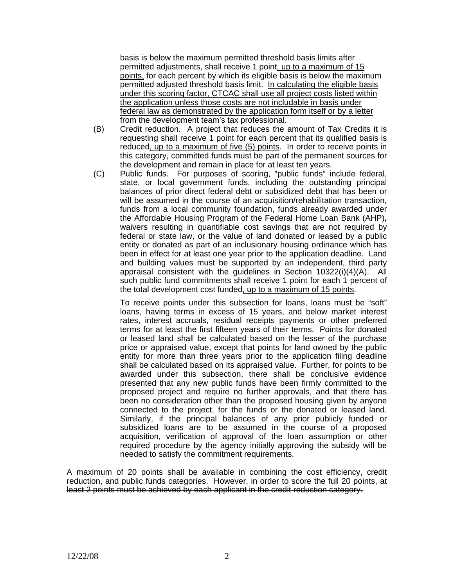basis is below the maximum permitted threshold basis limits after permitted adjustments, shall receive 1 point, up to a maximum of 15 points, for each percent by which its eligible basis is below the maximum permitted adjusted threshold basis limit. In calculating the eligible basis under this scoring factor, CTCAC shall use all project costs listed within the application unless those costs are not includable in basis under federal law as demonstrated by the application form itself or by a letter from the development team's tax professional.

- (B) Credit reduction. A project that reduces the amount of Tax Credits it is requesting shall receive 1 point for each percent that its qualified basis is reduced, up to a maximum of five (5) points. In order to receive points in this category, committed funds must be part of the permanent sources for the development and remain in place for at least ten years.
- (C) Public funds. For purposes of scoring, "public funds" include federal, state, or local government funds, including the outstanding principal balances of prior direct federal debt or subsidized debt that has been or will be assumed in the course of an acquisition/rehabilitation transaction, funds from a local community foundation, funds already awarded under the Affordable Housing Program of the Federal Home Loan Bank (AHP)**,**  waivers resulting in quantifiable cost savings that are not required by federal or state law, or the value of land donated or leased by a public entity or donated as part of an inclusionary housing ordinance which has been in effect for at least one year prior to the application deadline. Land and building values must be supported by an independent, third party appraisal consistent with the guidelines in Section 10322(i)(4)(A). All such public fund commitments shall receive 1 point for each 1 percent of the total development cost funded, up to a maximum of 15 points.

To receive points under this subsection for loans, loans must be "soft" loans, having terms in excess of 15 years, and below market interest rates, interest accruals, residual receipts payments or other preferred terms for at least the first fifteen years of their terms. Points for donated or leased land shall be calculated based on the lesser of the purchase price or appraised value, except that points for land owned by the public entity for more than three years prior to the application filing deadline shall be calculated based on its appraised value. Further, for points to be awarded under this subsection, there shall be conclusive evidence presented that any new public funds have been firmly committed to the proposed project and require no further approvals, and that there has been no consideration other than the proposed housing given by anyone connected to the project, for the funds or the donated or leased land. Similarly, if the principal balances of any prior publicly funded or subsidized loans are to be assumed in the course of a proposed acquisition, verification of approval of the loan assumption or other required procedure by the agency initially approving the subsidy will be needed to satisfy the commitment requirements.

A maximum of 20 points shall be available in combining the cost efficiency, credit reduction, and public funds categories. However, in order to score the full 20 points, at least 2 points must be achieved by each applicant in the credit reduction category.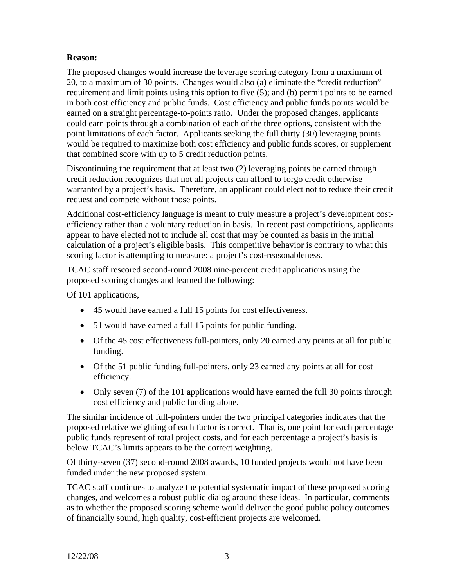# **Reason:**

The proposed changes would increase the leverage scoring category from a maximum of 20, to a maximum of 30 points. Changes would also (a) eliminate the "credit reduction" requirement and limit points using this option to five (5); and (b) permit points to be earned in both cost efficiency and public funds. Cost efficiency and public funds points would be earned on a straight percentage-to-points ratio. Under the proposed changes, applicants could earn points through a combination of each of the three options, consistent with the point limitations of each factor. Applicants seeking the full thirty (30) leveraging points would be required to maximize both cost efficiency and public funds scores, or supplement that combined score with up to 5 credit reduction points.

Discontinuing the requirement that at least two (2) leveraging points be earned through credit reduction recognizes that not all projects can afford to forgo credit otherwise warranted by a project's basis. Therefore, an applicant could elect not to reduce their credit request and compete without those points.

Additional cost-efficiency language is meant to truly measure a project's development costefficiency rather than a voluntary reduction in basis. In recent past competitions, applicants appear to have elected not to include all cost that may be counted as basis in the initial calculation of a project's eligible basis. This competitive behavior is contrary to what this scoring factor is attempting to measure: a project's cost-reasonableness.

TCAC staff rescored second-round 2008 nine-percent credit applications using the proposed scoring changes and learned the following:

Of 101 applications,

- 45 would have earned a full 15 points for cost effectiveness.
- 51 would have earned a full 15 points for public funding.
- Of the 45 cost effectiveness full-pointers, only 20 earned any points at all for public funding.
- Of the 51 public funding full-pointers, only 23 earned any points at all for cost efficiency.
- Only seven (7) of the 101 applications would have earned the full 30 points through cost efficiency and public funding alone.

The similar incidence of full-pointers under the two principal categories indicates that the proposed relative weighting of each factor is correct. That is, one point for each percentage public funds represent of total project costs, and for each percentage a project's basis is below TCAC's limits appears to be the correct weighting.

Of thirty-seven (37) second-round 2008 awards, 10 funded projects would not have been funded under the new proposed system.

TCAC staff continues to analyze the potential systematic impact of these proposed scoring changes, and welcomes a robust public dialog around these ideas. In particular, comments as to whether the proposed scoring scheme would deliver the good public policy outcomes of financially sound, high quality, cost-efficient projects are welcomed.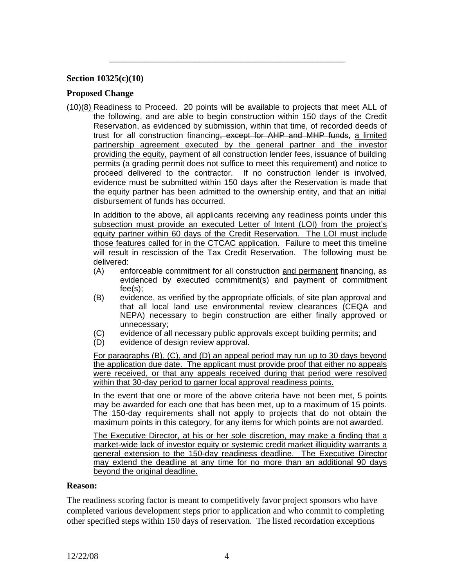## **Section 10325(c)(10)**

#### **Proposed Change**

(10)(8) Readiness to Proceed. 20 points will be available to projects that meet ALL of the following, and are able to begin construction within 150 days of the Credit Reservation, as evidenced by submission, within that time, of recorded deeds of trust for all construction financing, except for AHP and MHP funds, a limited partnership agreement executed by the general partner and the investor providing the equity, payment of all construction lender fees, issuance of building permits (a grading permit does not suffice to meet this requirement) and notice to proceed delivered to the contractor. If no construction lender is involved, evidence must be submitted within 150 days after the Reservation is made that the equity partner has been admitted to the ownership entity, and that an initial disbursement of funds has occurred.

\_\_\_\_\_\_\_\_\_\_\_\_\_\_\_\_\_\_\_\_\_\_\_\_\_\_\_\_\_\_\_\_\_\_\_\_\_\_\_\_\_\_\_\_\_\_\_\_\_\_\_\_

In addition to the above, all applicants receiving any readiness points under this subsection must provide an executed Letter of Intent (LOI) from the project's equity partner within 60 days of the Credit Reservation. The LOI must include those features called for in the CTCAC application. Failure to meet this timeline will result in rescission of the Tax Credit Reservation. The following must be delivered:

- (A) enforceable commitment for all construction and permanent financing, as evidenced by executed commitment(s) and payment of commitment fee(s);
- (B) evidence, as verified by the appropriate officials, of site plan approval and that all local land use environmental review clearances (CEQA and NEPA) necessary to begin construction are either finally approved or unnecessary;
- (C) evidence of all necessary public approvals except building permits; and
- (D) evidence of design review approval.

For paragraphs (B), (C), and (D) an appeal period may run up to 30 days beyond the application due date. The applicant must provide proof that either no appeals were received, or that any appeals received during that period were resolved within that 30-day period to garner local approval readiness points.

In the event that one or more of the above criteria have not been met, 5 points may be awarded for each one that has been met, up to a maximum of 15 points. The 150-day requirements shall not apply to projects that do not obtain the maximum points in this category, for any items for which points are not awarded.

The Executive Director, at his or her sole discretion, may make a finding that a market-wide lack of investor equity or systemic credit market illiquidity warrants a general extension to the 150-day readiness deadline. The Executive Director may extend the deadline at any time for no more than an additional 90 days beyond the original deadline.

#### **Reason:**

The readiness scoring factor is meant to competitively favor project sponsors who have completed various development steps prior to application and who commit to completing other specified steps within 150 days of reservation. The listed recordation exceptions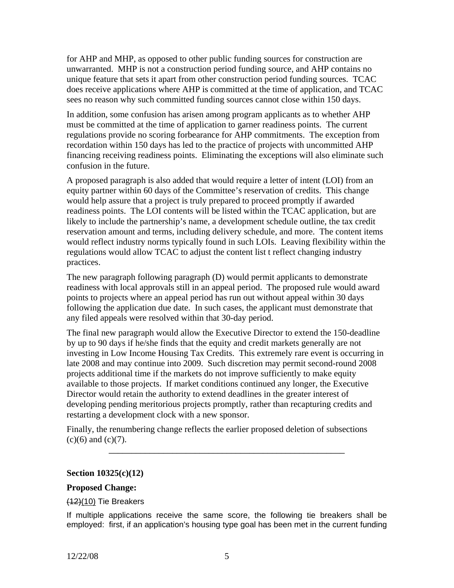for AHP and MHP, as opposed to other public funding sources for construction are unwarranted. MHP is not a construction period funding source, and AHP contains no unique feature that sets it apart from other construction period funding sources. TCAC does receive applications where AHP is committed at the time of application, and TCAC sees no reason why such committed funding sources cannot close within 150 days.

In addition, some confusion has arisen among program applicants as to whether AHP must be committed at the time of application to garner readiness points. The current regulations provide no scoring forbearance for AHP commitments. The exception from recordation within 150 days has led to the practice of projects with uncommitted AHP financing receiving readiness points. Eliminating the exceptions will also eliminate such confusion in the future.

A proposed paragraph is also added that would require a letter of intent (LOI) from an equity partner within 60 days of the Committee's reservation of credits. This change would help assure that a project is truly prepared to proceed promptly if awarded readiness points. The LOI contents will be listed within the TCAC application, but are likely to include the partnership's name, a development schedule outline, the tax credit reservation amount and terms, including delivery schedule, and more. The content items would reflect industry norms typically found in such LOIs. Leaving flexibility within the regulations would allow TCAC to adjust the content list t reflect changing industry practices.

The new paragraph following paragraph (D) would permit applicants to demonstrate readiness with local approvals still in an appeal period. The proposed rule would award points to projects where an appeal period has run out without appeal within 30 days following the application due date. In such cases, the applicant must demonstrate that any filed appeals were resolved within that 30-day period.

The final new paragraph would allow the Executive Director to extend the 150-deadline by up to 90 days if he/she finds that the equity and credit markets generally are not investing in Low Income Housing Tax Credits. This extremely rare event is occurring in late 2008 and may continue into 2009. Such discretion may permit second-round 2008 projects additional time if the markets do not improve sufficiently to make equity available to those projects. If market conditions continued any longer, the Executive Director would retain the authority to extend deadlines in the greater interest of developing pending meritorious projects promptly, rather than recapturing credits and restarting a development clock with a new sponsor.

Finally, the renumbering change reflects the earlier proposed deletion of subsections  $(c)(6)$  and  $(c)(7)$ .

\_\_\_\_\_\_\_\_\_\_\_\_\_\_\_\_\_\_\_\_\_\_\_\_\_\_\_\_\_\_\_\_\_\_\_\_\_\_\_\_\_\_\_\_\_\_\_\_\_\_\_\_

## **Section 10325(c)(12)**

## **Proposed Change:**

## $(12)(10)$  Tie Breakers

If multiple applications receive the same score, the following tie breakers shall be employed: first, if an application's housing type goal has been met in the current funding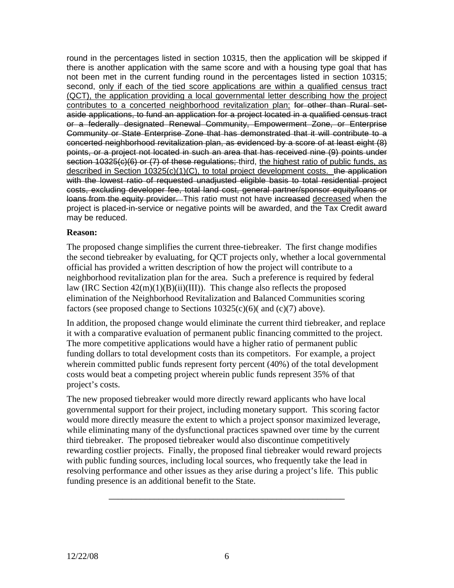round in the percentages listed in section 10315, then the application will be skipped if there is another application with the same score and with a housing type goal that has not been met in the current funding round in the percentages listed in section 10315; second, only if each of the tied score applications are within a qualified census tract (QCT), the application providing a local governmental letter describing how the project contributes to a concerted neighborhood revitalization plan; for other than Rural setaside applications, to fund an application for a project located in a qualified census tract or a federally designated Renewal Community, Empowerment Zone, or Enterprise Community or State Enterprise Zone that has demonstrated that it will contribute to a concerted neighborhood revitalization plan, as evidenced by a score of at least eight (8) points, or a project not located in such an area that has received nine (9) points under section 10325(c)(6) or (7) of these regulations; third, the highest ratio of public funds, as described in Section  $10325(c)(1)(C)$ , to total project development costs. the application with the lowest ratio of requested unadjusted eligible basis to total residential project costs, excluding developer fee, total land cost, general partner/sponsor equity/loans or loans from the equity provider. This ratio must not have increased decreased when the project is placed-in-service or negative points will be awarded, and the Tax Credit award may be reduced.

# **Reason:**

The proposed change simplifies the current three-tiebreaker. The first change modifies the second tiebreaker by evaluating, for QCT projects only, whether a local governmental official has provided a written description of how the project will contribute to a neighborhood revitalization plan for the area. Such a preference is required by federal law (IRC Section  $42(m)(1)(B)(ii)(III)$ ). This change also reflects the proposed elimination of the Neighborhood Revitalization and Balanced Communities scoring factors (see proposed change to Sections  $10325(c)(6)$  and  $(c)(7)$  above).

In addition, the proposed change would eliminate the current third tiebreaker, and replace it with a comparative evaluation of permanent public financing committed to the project. The more competitive applications would have a higher ratio of permanent public funding dollars to total development costs than its competitors. For example, a project wherein committed public funds represent forty percent (40%) of the total development costs would beat a competing project wherein public funds represent 35% of that project's costs.

The new proposed tiebreaker would more directly reward applicants who have local governmental support for their project, including monetary support. This scoring factor would more directly measure the extent to which a project sponsor maximized leverage, while eliminating many of the dysfunctional practices spawned over time by the current third tiebreaker. The proposed tiebreaker would also discontinue competitively rewarding costlier projects. Finally, the proposed final tiebreaker would reward projects with public funding sources, including local sources, who frequently take the lead in resolving performance and other issues as they arise during a project's life. This public funding presence is an additional benefit to the State.

\_\_\_\_\_\_\_\_\_\_\_\_\_\_\_\_\_\_\_\_\_\_\_\_\_\_\_\_\_\_\_\_\_\_\_\_\_\_\_\_\_\_\_\_\_\_\_\_\_\_\_\_